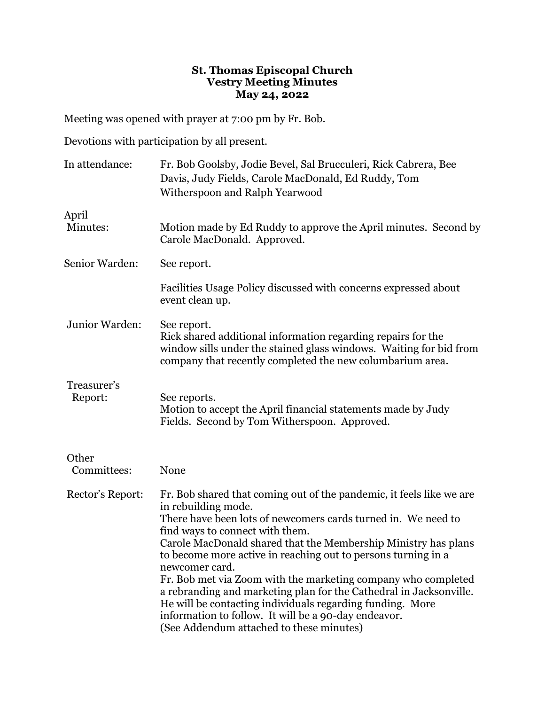## **St. Thomas Episcopal Church Vestry Meeting Minutes May 24, 2022**

Meeting was opened with prayer at 7:00 pm by Fr. Bob.

Devotions with participation by all present.

| In attendance:         | Fr. Bob Goolsby, Jodie Bevel, Sal Brucculeri, Rick Cabrera, Bee<br>Davis, Judy Fields, Carole MacDonald, Ed Ruddy, Tom<br>Witherspoon and Ralph Yearwood                                                                                                                                                                                                                                                                                                                                                                                                                                                                                                     |
|------------------------|--------------------------------------------------------------------------------------------------------------------------------------------------------------------------------------------------------------------------------------------------------------------------------------------------------------------------------------------------------------------------------------------------------------------------------------------------------------------------------------------------------------------------------------------------------------------------------------------------------------------------------------------------------------|
| April<br>Minutes:      | Motion made by Ed Ruddy to approve the April minutes. Second by<br>Carole MacDonald. Approved.                                                                                                                                                                                                                                                                                                                                                                                                                                                                                                                                                               |
| Senior Warden:         | See report.                                                                                                                                                                                                                                                                                                                                                                                                                                                                                                                                                                                                                                                  |
|                        | Facilities Usage Policy discussed with concerns expressed about<br>event clean up.                                                                                                                                                                                                                                                                                                                                                                                                                                                                                                                                                                           |
| Junior Warden:         | See report.<br>Rick shared additional information regarding repairs for the<br>window sills under the stained glass windows. Waiting for bid from<br>company that recently completed the new columbarium area.                                                                                                                                                                                                                                                                                                                                                                                                                                               |
| Treasurer's<br>Report: | See reports.<br>Motion to accept the April financial statements made by Judy<br>Fields. Second by Tom Witherspoon. Approved.                                                                                                                                                                                                                                                                                                                                                                                                                                                                                                                                 |
| Other<br>Committees:   | None                                                                                                                                                                                                                                                                                                                                                                                                                                                                                                                                                                                                                                                         |
| Rector's Report:       | Fr. Bob shared that coming out of the pandemic, it feels like we are<br>in rebuilding mode.<br>There have been lots of newcomers cards turned in. We need to<br>find ways to connect with them.<br>Carole MacDonald shared that the Membership Ministry has plans<br>to become more active in reaching out to persons turning in a<br>newcomer card.<br>Fr. Bob met via Zoom with the marketing company who completed<br>a rebranding and marketing plan for the Cathedral in Jacksonville.<br>He will be contacting individuals regarding funding. More<br>information to follow. It will be a 90-day endeavor.<br>(See Addendum attached to these minutes) |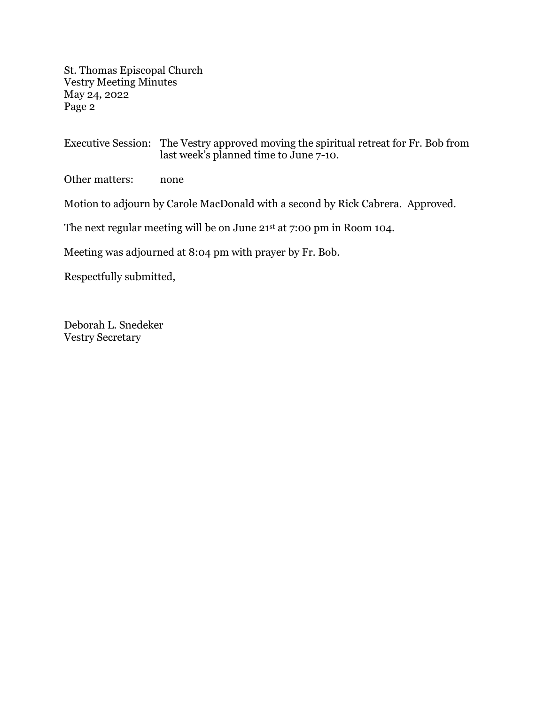St. Thomas Episcopal Church Vestry Meeting Minutes May 24, 2022 Page 2

Executive Session: The Vestry approved moving the spiritual retreat for Fr. Bob from last week's planned time to June 7-10.

Other matters: none

Motion to adjourn by Carole MacDonald with a second by Rick Cabrera. Approved.

The next regular meeting will be on June 21st at 7:00 pm in Room 104.

Meeting was adjourned at 8:04 pm with prayer by Fr. Bob.

Respectfully submitted,

Deborah L. Snedeker Vestry Secretary